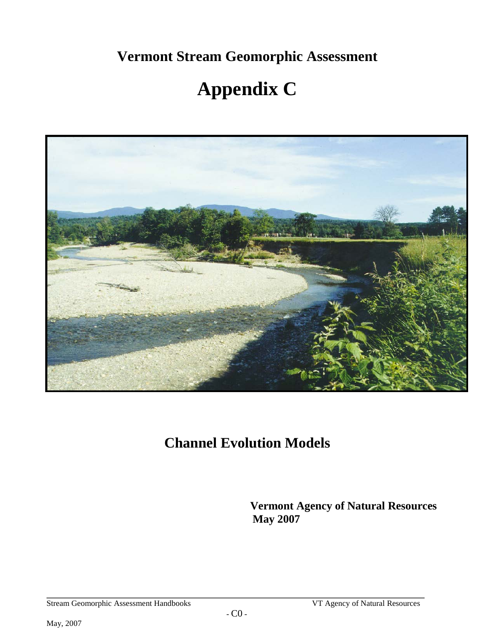**Vermont Stream Geomorphic Assessment** 

# **Appendix C**



## **Channel Evolution Models**

**Vermont Agency of Natural Resources May 2007**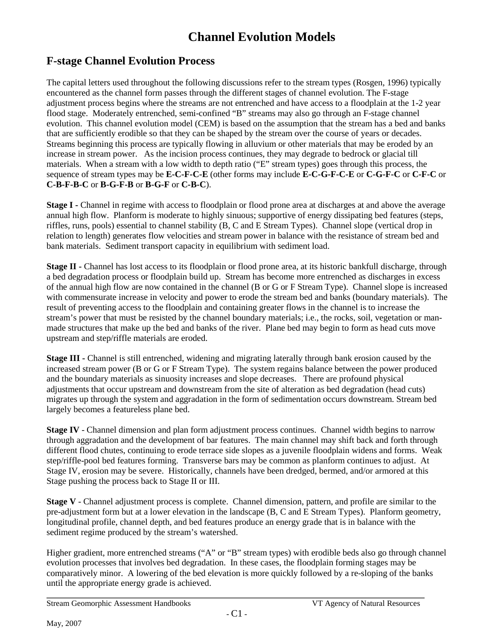## **Channel Evolution Models**

### **F-stage Channel Evolution Process**

The capital letters used throughout the following discussions refer to the stream types (Rosgen, 1996) typically encountered as the channel form passes through the different stages of channel evolution. The F-stage adjustment process begins where the streams are not entrenched and have access to a floodplain at the 1-2 year flood stage. Moderately entrenched, semi-confined "B" streams may also go through an F-stage channel evolution. This channel evolution model (CEM) is based on the assumption that the stream has a bed and banks that are sufficiently erodible so that they can be shaped by the stream over the course of years or decades. Streams beginning this process are typically flowing in alluvium or other materials that may be eroded by an increase in stream power. As the incision process continues, they may degrade to bedrock or glacial till materials. When a stream with a low width to depth ratio ("E" stream types) goes through this process, the sequence of stream types may be **E-C-F-C-E** (other forms may include **E-C-G-F-C-E** or **C-G-F-C** or **C-F-C** or **C-B-F-B-C** or **B-G-F-B** or **B-G-F** or **C-B-C**).

**Stage I -** Channel in regime with access to floodplain or flood prone area at discharges at and above the average annual high flow. Planform is moderate to highly sinuous; supportive of energy dissipating bed features (steps, riffles, runs, pools) essential to channel stability (B, C and E Stream Types). Channel slope (vertical drop in relation to length) generates flow velocities and stream power in balance with the resistance of stream bed and bank materials. Sediment transport capacity in equilibrium with sediment load.

**Stage II -** Channel has lost access to its floodplain or flood prone area, at its historic bankfull discharge, through a bed degradation process or floodplain build up. Stream has become more entrenched as discharges in excess of the annual high flow are now contained in the channel (B or G or F Stream Type). Channel slope is increased with commensurate increase in velocity and power to erode the stream bed and banks (boundary materials). The result of preventing access to the floodplain and containing greater flows in the channel is to increase the stream's power that must be resisted by the channel boundary materials; i.e., the rocks, soil, vegetation or manmade structures that make up the bed and banks of the river. Plane bed may begin to form as head cuts move upstream and step/riffle materials are eroded.

**Stage III -** Channel is still entrenched, widening and migrating laterally through bank erosion caused by the increased stream power (B or G or F Stream Type). The system regains balance between the power produced and the boundary materials as sinuosity increases and slope decreases. There are profound physical adjustments that occur upstream and downstream from the site of alteration as bed degradation (head cuts) migrates up through the system and aggradation in the form of sedimentation occurs downstream. Stream bed largely becomes a featureless plane bed.

**Stage IV** - Channel dimension and plan form adjustment process continues. Channel width begins to narrow through aggradation and the development of bar features. The main channel may shift back and forth through different flood chutes, continuing to erode terrace side slopes as a juvenile floodplain widens and forms. Weak step/riffle-pool bed features forming. Transverse bars may be common as planform continues to adjust. At Stage IV, erosion may be severe. Historically, channels have been dredged, bermed, and/or armored at this Stage pushing the process back to Stage II or III.

**Stage V** - Channel adjustment process is complete. Channel dimension, pattern, and profile are similar to the pre-adjustment form but at a lower elevation in the landscape (B, C and E Stream Types). Planform geometry, longitudinal profile, channel depth, and bed features produce an energy grade that is in balance with the sediment regime produced by the stream's watershed.

Higher gradient, more entrenched streams ("A" or "B" stream types) with erodible beds also go through channel evolution processes that involves bed degradation. In these cases, the floodplain forming stages may be comparatively minor. A lowering of the bed elevation is more quickly followed by a re-sloping of the banks until the appropriate energy grade is achieved.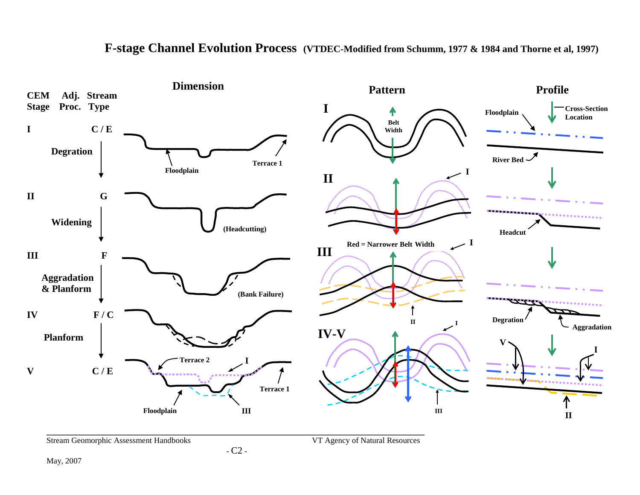

#### **F-stage Channel Evolution Process (VTDEC-Modified from Schumm, 1977 & 1984 and Thorne et al, 1997)**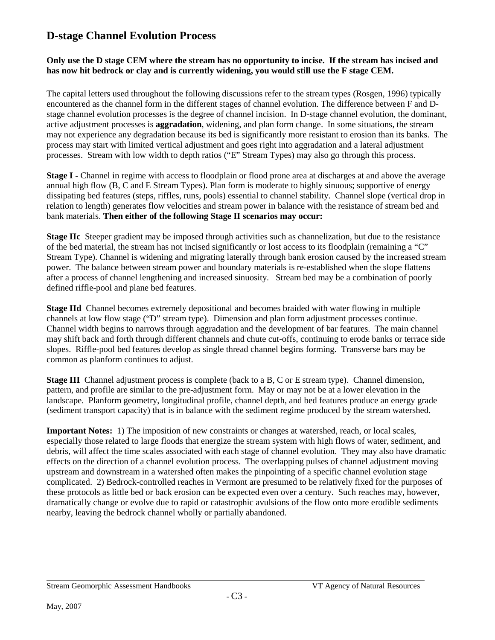#### **D-stage Channel Evolution Process**

#### **Only use the D stage CEM where the stream has no opportunity to incise. If the stream has incised and has now hit bedrock or clay and is currently widening, you would still use the F stage CEM.**

The capital letters used throughout the following discussions refer to the stream types (Rosgen, 1996) typically encountered as the channel form in the different stages of channel evolution. The difference between F and Dstage channel evolution processes is the degree of channel incision. In D-stage channel evolution, the dominant, active adjustment processes is **aggradation**, widening, and plan form change. In some situations, the stream may not experience any degradation because its bed is significantly more resistant to erosion than its banks. The process may start with limited vertical adjustment and goes right into aggradation and a lateral adjustment processes. Stream with low width to depth ratios ("E" Stream Types) may also go through this process.

**Stage I -** Channel in regime with access to floodplain or flood prone area at discharges at and above the average annual high flow (B, C and E Stream Types). Plan form is moderate to highly sinuous; supportive of energy dissipating bed features (steps, riffles, runs, pools) essential to channel stability. Channel slope (vertical drop in relation to length) generates flow velocities and stream power in balance with the resistance of stream bed and bank materials. **Then either of the following Stage II scenarios may occur:**

**Stage IIc** Steeper gradient may be imposed through activities such as channelization, but due to the resistance of the bed material, the stream has not incised significantly or lost access to its floodplain (remaining a "C" Stream Type). Channel is widening and migrating laterally through bank erosion caused by the increased stream power. The balance between stream power and boundary materials is re-established when the slope flattens after a process of channel lengthening and increased sinuosity. Stream bed may be a combination of poorly defined riffle-pool and plane bed features.

**Stage IId** Channel becomes extremely depositional and becomes braided with water flowing in multiple channels at low flow stage ("D" stream type). Dimension and plan form adjustment processes continue. Channel width begins to narrows through aggradation and the development of bar features. The main channel may shift back and forth through different channels and chute cut-offs, continuing to erode banks or terrace side slopes. Riffle-pool bed features develop as single thread channel begins forming. Transverse bars may be common as planform continues to adjust.

**Stage III** Channel adjustment process is complete (back to a B, C or E stream type). Channel dimension, pattern, and profile are similar to the pre-adjustment form. May or may not be at a lower elevation in the landscape. Planform geometry, longitudinal profile, channel depth, and bed features produce an energy grade (sediment transport capacity) that is in balance with the sediment regime produced by the stream watershed.

**Important Notes:** 1) The imposition of new constraints or changes at watershed, reach, or local scales, especially those related to large floods that energize the stream system with high flows of water, sediment, and debris, will affect the time scales associated with each stage of channel evolution. They may also have dramatic effects on the direction of a channel evolution process. The overlapping pulses of channel adjustment moving upstream and downstream in a watershed often makes the pinpointing of a specific channel evolution stage complicated. 2) Bedrock-controlled reaches in Vermont are presumed to be relatively fixed for the purposes of these protocols as little bed or back erosion can be expected even over a century. Such reaches may, however, dramatically change or evolve due to rapid or catastrophic avulsions of the flow onto more erodible sediments nearby, leaving the bedrock channel wholly or partially abandoned.